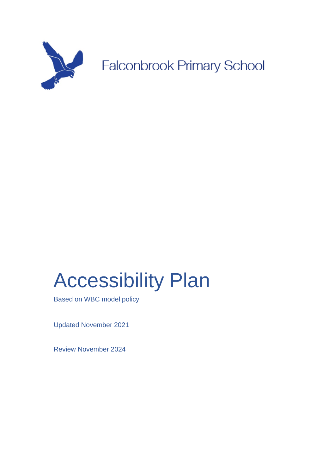

# Accessibility Plan

Based on WBC model policy

Updated November 2021

Review November 2024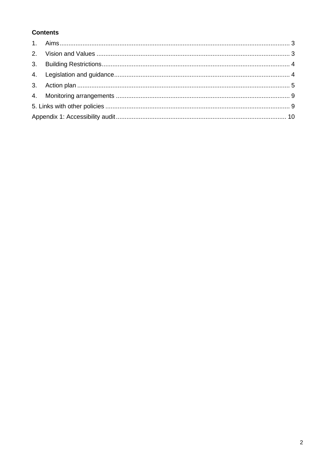# **Contents**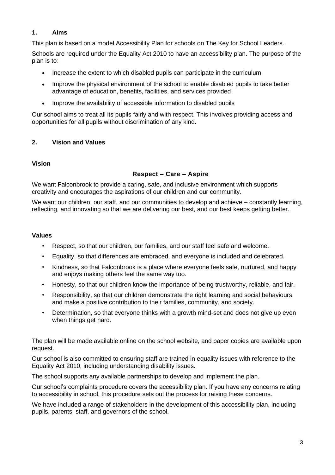## **1. Aims**

This plan is based on a model Accessibility Plan for schools on The Key for School Leaders.

Schools are required under the Equality Act 2010 to have an accessibility plan. The purpose of the plan is to:

- Increase the extent to which disabled pupils can participate in the curriculum
- Improve the physical environment of the school to enable disabled pupils to take better advantage of education, benefits, facilities, and services provided
- Improve the availability of accessible information to disabled pupils

Our school aims to treat all its pupils fairly and with respect. This involves providing access and opportunities for all pupils without discrimination of any kind.

#### **2. Vision and Values**

#### **Vision**

#### **Respect – Care – Aspire**

We want Falconbrook to provide a caring, safe, and inclusive environment which supports creativity and encourages the aspirations of our children and our community.

We want our children, our staff, and our communities to develop and achieve – constantly learning, reflecting, and innovating so that we are delivering our best, and our best keeps getting better.

#### **Values**

- Respect, so that our children, our families, and our staff feel safe and welcome.
- Equality, so that differences are embraced, and everyone is included and celebrated.
- Kindness, so that Falconbrook is a place where everyone feels safe, nurtured, and happy and enjoys making others feel the same way too.
- Honesty, so that our children know the importance of being trustworthy, reliable, and fair.
- Responsibility, so that our children demonstrate the right learning and social behaviours, and make a positive contribution to their families, community, and society.
- Determination, so that everyone thinks with a growth mind-set and does not give up even when things get hard.

The plan will be made available online on the school website, and paper copies are available upon request.

Our school is also committed to ensuring staff are trained in equality issues with reference to the Equality Act 2010, including understanding disability issues.

The school supports any available partnerships to develop and implement the plan.

Our school's complaints procedure covers the accessibility plan. If you have any concerns relating to accessibility in school, this procedure sets out the process for raising these concerns.

We have included a range of stakeholders in the development of this accessibility plan, including pupils, parents, staff, and governors of the school.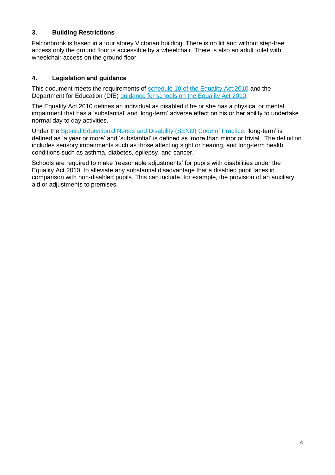## **3. Building Restrictions**

Falconbrook is based in a four storey Victorian building. There is no lift and without step-free access only the ground floor is accessible by a wheelchair. There is also an adult toilet with wheelchair access on the ground floor

## **4. Legislation and guidance**

This document meets the requirements of [schedule 10 of the Equality Act 2010](http://www.legislation.gov.uk/ukpga/2010/15/schedule/10) and the Department for Education (DfE) [guidance for schools on the Equality Act 2010.](https://www.gov.uk/government/publications/equality-act-2010-advice-for-schools)

The Equality Act 2010 defines an individual as disabled if he or she has a physical or mental impairment that has a 'substantial' and 'long-term' adverse effect on his or her ability to undertake normal day to day activities.

Under the [Special Educational Needs and Disability \(SEND\) Code of Practice,](https://www.gov.uk/government/publications/send-code-of-practice-0-to-25) 'long-term' is defined as 'a year or more' and 'substantial' is defined as 'more than minor or trivial.' The definition includes sensory impairments such as those affecting sight or hearing, and long-term health conditions such as asthma, diabetes, epilepsy, and cancer.

Schools are required to make 'reasonable adjustments' for pupils with disabilities under the Equality Act 2010, to alleviate any substantial disadvantage that a disabled pupil faces in comparison with non-disabled pupils. This can include, for example, the provision of an auxiliary aid or adjustments to premises.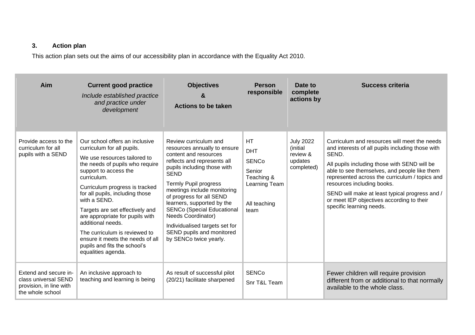# **3. Action plan**

This action plan sets out the aims of our accessibility plan in accordance with the Equality Act 2010.

| <b>Aim</b>                                                                                   | <b>Current good practice</b><br>Include established practice<br>and practice under<br>development                                                                                                                                                                                                                                                                                                                                                                                  | <b>Objectives</b><br>&<br><b>Actions to be taken</b>                                                                                                                                                                                                                                                                                                                                                                                     | <b>Person</b><br>responsible                                                                             | Date to<br>complete<br>actions by                                 | <b>Success criteria</b>                                                                                                                                                                                                                                                                                                                                                                                              |
|----------------------------------------------------------------------------------------------|------------------------------------------------------------------------------------------------------------------------------------------------------------------------------------------------------------------------------------------------------------------------------------------------------------------------------------------------------------------------------------------------------------------------------------------------------------------------------------|------------------------------------------------------------------------------------------------------------------------------------------------------------------------------------------------------------------------------------------------------------------------------------------------------------------------------------------------------------------------------------------------------------------------------------------|----------------------------------------------------------------------------------------------------------|-------------------------------------------------------------------|----------------------------------------------------------------------------------------------------------------------------------------------------------------------------------------------------------------------------------------------------------------------------------------------------------------------------------------------------------------------------------------------------------------------|
| Provide access to the<br>curriculum for all<br>pupils with a SEND                            | Our school offers an inclusive<br>curriculum for all pupils.<br>We use resources tailored to<br>the needs of pupils who require<br>support to access the<br>curriculum.<br>Curriculum progress is tracked<br>for all pupils, including those<br>with a SEND.<br>Targets are set effectively and<br>are appropriate for pupils with<br>additional needs.<br>The curriculum is reviewed to<br>ensure it meets the needs of all<br>pupils and fits the school's<br>equalities agenda. | Review curriculum and<br>resources annually to ensure<br>content and resources<br>reflects and represents all<br>pupils including those with<br><b>SEND</b><br>Termly Pupil progress<br>meetings include monitoring<br>of progress for all SEND<br>learners, supported by the<br><b>SENCo (Special Educational</b><br><b>Needs Coordinator)</b><br>Individualised targets set for<br>SEND pupils and monitored<br>by SENCo twice yearly. | <b>HT</b><br><b>DHT</b><br><b>SENCo</b><br>Senior<br>Teaching &<br>Learning Team<br>All teaching<br>team | <b>July 2022</b><br>(initial<br>review &<br>updates<br>completed) | Curriculum and resources will meet the needs<br>and interests of all pupils including those with<br>SEND.<br>All pupils including those with SEND will be<br>able to see themselves, and people like them<br>represented across the curriculum / topics and<br>resources including books.<br>SEND will make at least typical progress and /<br>or meet IEP objectives according to their<br>specific learning needs. |
| Extend and secure in-<br>class universal SEND<br>provision, in line with<br>the whole school | An inclusive approach to<br>teaching and learning is being                                                                                                                                                                                                                                                                                                                                                                                                                         | As result of successful pilot<br>(20/21) facilitate sharpened                                                                                                                                                                                                                                                                                                                                                                            | <b>SENCo</b><br>Snr T&L Team                                                                             |                                                                   | Fewer children will require provision<br>different from or additional to that normally<br>available to the whole class.                                                                                                                                                                                                                                                                                              |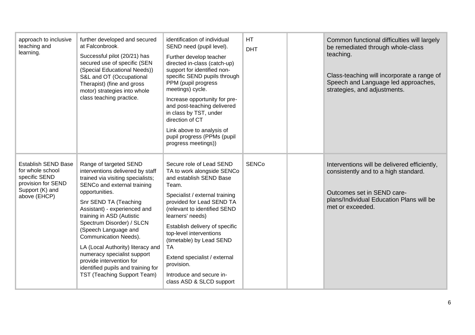| approach to inclusive<br>teaching and<br>learning.                                                                       | further developed and secured<br>at Falconbrook.<br>Successful pilot (20/21) has<br>secured use of specific (SEN<br>(Special Educational Needs))<br>S&L and OT (Occupational<br>Therapist) (fine and gross<br>motor) strategies into whole<br>class teaching practice.                                                                                                                                                                                                                           | identification of individual<br>SEND need (pupil level).<br>Further develop teacher<br>directed in-class (catch-up)<br>support for identified non-<br>specific SEND pupils through<br>PPM (pupil progress<br>meetings) cycle.<br>Increase opportunity for pre-<br>and post-teaching delivered<br>in class by TST, under<br>direction of CT<br>Link above to analysis of<br>pupil progress (PPMs (pupil<br>progress meetings)) | <b>HT</b><br><b>DHT</b> | Common functional difficulties will largely<br>be remediated through whole-class<br>teaching.<br>Class-teaching will incorporate a range of<br>Speech and Language led approaches,<br>strategies, and adjustments. |
|--------------------------------------------------------------------------------------------------------------------------|--------------------------------------------------------------------------------------------------------------------------------------------------------------------------------------------------------------------------------------------------------------------------------------------------------------------------------------------------------------------------------------------------------------------------------------------------------------------------------------------------|-------------------------------------------------------------------------------------------------------------------------------------------------------------------------------------------------------------------------------------------------------------------------------------------------------------------------------------------------------------------------------------------------------------------------------|-------------------------|--------------------------------------------------------------------------------------------------------------------------------------------------------------------------------------------------------------------|
| <b>Establish SEND Base</b><br>for whole school<br>specific SEND<br>provision for SEND<br>Support (K) and<br>above (EHCP) | Range of targeted SEND<br>interventions delivered by staff<br>trained via visiting specialists;<br>SENCo and external training<br>opportunities.<br>Snr SEND TA (Teaching<br>Assistant) - experienced and<br>training in ASD (Autistic<br>Spectrum Disorder) / SLCN<br>(Speech Language and<br><b>Communication Needs).</b><br>LA (Local Authority) literacy and<br>numeracy specialist support<br>provide intervention for<br>identified pupils and training for<br>TST (Teaching Support Team) | Secure role of Lead SEND<br>TA to work alongside SENCo<br>and establish SEND Base<br>Team.<br>Specialist / external training<br>provided for Lead SEND TA<br>(relevant to identified SEND<br>learners' needs)<br>Establish delivery of specific<br>top-level interventions<br>(timetable) by Lead SEND<br><b>TA</b><br>Extend specialist / external<br>provision.<br>Introduce and secure in-<br>class ASD & SLCD support     | <b>SENCo</b>            | Interventions will be delivered efficiently,<br>consistently and to a high standard.<br>Outcomes set in SEND care-<br>plans/Individual Education Plans will be<br>met or exceeded.                                 |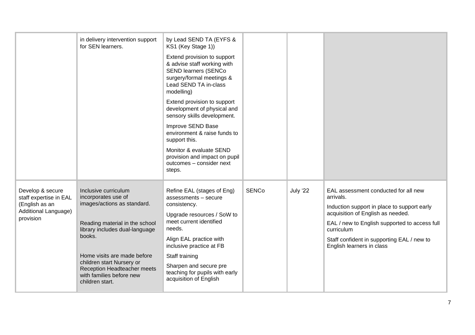|                                                                                                   | in delivery intervention support<br>for SEN learners.                                                                                                                                                                                                                                                     | by Lead SEND TA (EYFS &<br>KS1 (Key Stage 1))<br>Extend provision to support<br>& advise staff working with<br><b>SEND learners (SENCo</b><br>surgery/formal meetings &<br>Lead SEND TA in-class<br>modelling)<br>Extend provision to support<br>development of physical and<br>sensory skills development.<br>Improve SEND Base<br>environment & raise funds to<br>support this.<br>Monitor & evaluate SEND<br>provision and impact on pupil<br>outcomes - consider next<br>steps. |              |          |                                                                                                                                                                                                                                                                                 |
|---------------------------------------------------------------------------------------------------|-----------------------------------------------------------------------------------------------------------------------------------------------------------------------------------------------------------------------------------------------------------------------------------------------------------|-------------------------------------------------------------------------------------------------------------------------------------------------------------------------------------------------------------------------------------------------------------------------------------------------------------------------------------------------------------------------------------------------------------------------------------------------------------------------------------|--------------|----------|---------------------------------------------------------------------------------------------------------------------------------------------------------------------------------------------------------------------------------------------------------------------------------|
| Develop & secure<br>staff expertise in EAL<br>(English as an<br>Additional Language)<br>provision | Inclusive curriculum<br>incorporates use of<br>images/actions as standard.<br>Reading material in the school<br>library includes dual-language<br>books.<br>Home visits are made before<br>children start Nursery or<br><b>Reception Headteacher meets</b><br>with families before new<br>children start. | Refine EAL (stages of Eng)<br>assessments - secure<br>consistency.<br>Upgrade resources / SoW to<br>meet current identified<br>needs.<br>Align EAL practice with<br>inclusive practice at FB<br>Staff training<br>Sharpen and secure pre<br>teaching for pupils with early<br>acquisition of English                                                                                                                                                                                | <b>SENCo</b> | July '22 | EAL assessment conducted for all new<br>arrivals.<br>Induction support in place to support early<br>acquisition of English as needed.<br>EAL / new to English supported to access full<br>curriculum<br>Staff confident in supporting EAL / new to<br>English learners in class |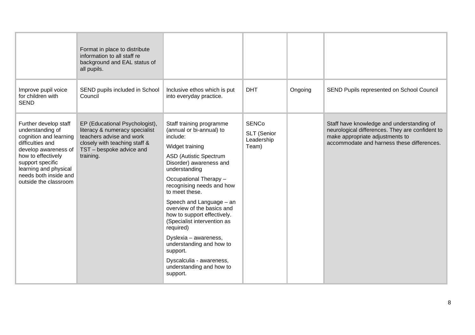|                                                                                                                                                                                                                                      | Format in place to distribute<br>information to all staff re<br>background and EAL status of<br>all pupils.                                                            |                                                                                                                                                                                                                                                                                                                                                                                                                                                                                                                     |                                                    |         |                                                                                                                                                                               |
|--------------------------------------------------------------------------------------------------------------------------------------------------------------------------------------------------------------------------------------|------------------------------------------------------------------------------------------------------------------------------------------------------------------------|---------------------------------------------------------------------------------------------------------------------------------------------------------------------------------------------------------------------------------------------------------------------------------------------------------------------------------------------------------------------------------------------------------------------------------------------------------------------------------------------------------------------|----------------------------------------------------|---------|-------------------------------------------------------------------------------------------------------------------------------------------------------------------------------|
| Improve pupil voice<br>for children with<br><b>SEND</b>                                                                                                                                                                              | SEND pupils included in School<br>Council                                                                                                                              | Inclusive ethos which is put<br>into everyday practice.                                                                                                                                                                                                                                                                                                                                                                                                                                                             | <b>DHT</b>                                         | Ongoing | SEND Pupils represented on School Council                                                                                                                                     |
| Further develop staff<br>understanding of<br>cognition and learning<br>difficulties and<br>develop awareness of<br>how to effectively<br>support specific<br>learning and physical<br>needs both inside and<br>outside the classroom | EP (Educational Psychologist),<br>literacy & numeracy specialist<br>teachers advise and work<br>closely with teaching staff &<br>TST - bespoke advice and<br>training. | Staff training programme<br>(annual or bi-annual) to<br>include:<br>Widget training<br><b>ASD (Autistic Spectrum</b><br>Disorder) awareness and<br>understanding<br>Occupational Therapy -<br>recognising needs and how<br>to meet these.<br>Speech and Language - an<br>overview of the basics and<br>how to support effectively.<br>(Specialist intervention as<br>required)<br>Dyslexia - awareness,<br>understanding and how to<br>support.<br>Dyscalculia - awareness,<br>understanding and how to<br>support. | <b>SENCo</b><br>SLT (Senior<br>Leadership<br>Team) |         | Staff have knowledge and understanding of<br>neurological differences. They are confident to<br>make appropriate adjustments to<br>accommodate and harness these differences. |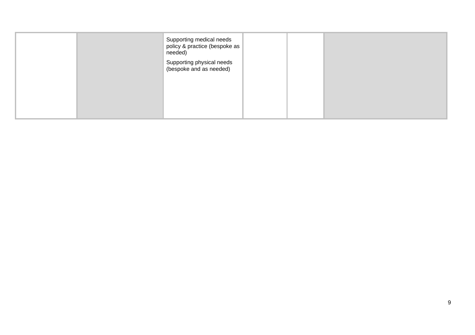|  | Supporting medical needs<br>policy & practice (bespoke as<br>needed)<br>Supporting physical needs<br>(bespoke and as needed) |  |  |
|--|------------------------------------------------------------------------------------------------------------------------------|--|--|
|  |                                                                                                                              |  |  |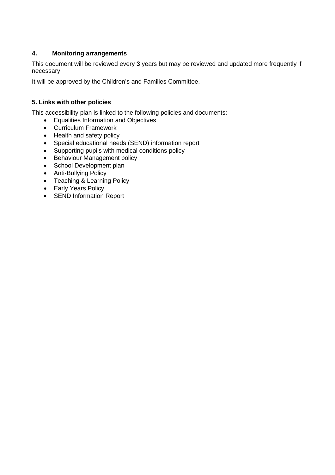# **4. Monitoring arrangements**

This document will be reviewed every **3** years but may be reviewed and updated more frequently if necessary.

It will be approved by the Children's and Families Committee.

# **5. Links with other policies**

This accessibility plan is linked to the following policies and documents:

- Equalities Information and Objectives
- Curriculum Framework
- Health and safety policy
- Special educational needs (SEND) information report
- Supporting pupils with medical conditions policy
- Behaviour Management policy
- School Development plan
- Anti-Bullying Policy
- Teaching & Learning Policy
- Early Years Policy
- SEND Information Report